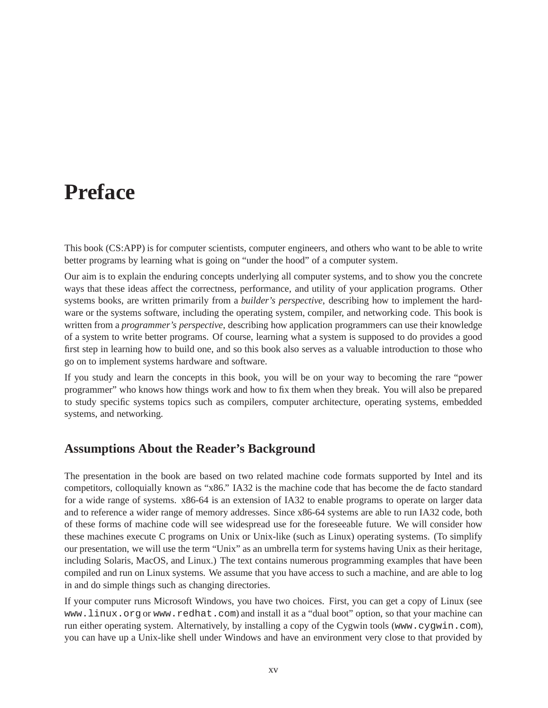# **Preface**

This book (CS:APP) is for computer scientists, computer engineers, and others who want to be able to write better programs by learning what is going on "under the hood" of a computer system.

Our aim is to explain the enduring concepts underlying all computer systems, and to show you the concrete ways that these ideas affect the correctness, performance, and utility of your application programs. Other systems books, are written primarily from a *builder's perspective*, describing how to implement the hardware or the systems software, including the operating system, compiler, and networking code. This book is written from a *programmer's perspective*, describing how application programmers can use their knowledge of a system to write better programs. Of course, learning what a system is supposed to do provides a good first step in learning how to build one, and so this book also serves as a valuable introduction to those who go on to implement systems hardware and software.

If you study and learn the concepts in this book, you will be on your way to becoming the rare "power programmer" who knows how things work and how to fix them when they break. You will also be prepared to study specific systems topics such as compilers, computer architecture, operating systems, embedded systems, and networking.

# **Assumptions About the Reader's Background**

The presentation in the book are based on two related machine code formats supported by Intel and its competitors, colloquially known as "x86." IA32 is the machine code that has become the de facto standard for a wide range of systems. x86-64 is an extension of IA32 to enable programs to operate on larger data and to reference a wider range of memory addresses. Since x86-64 systems are able to run IA32 code, both of these forms of machine code will see widespread use for the foreseeable future. We will consider how these machines execute C programs on Unix or Unix-like (such as Linux) operating systems. (To simplify our presentation, we will use the term "Unix" as an umbrella term for systems having Unix as their heritage, including Solaris, MacOS, and Linux.) The text contains numerous programming examples that have been compiled and run on Linux systems. We assume that you have access to such a machine, and are able to log in and do simple things such as changing directories.

If your computer runs Microsoft Windows, you have two choices. First, you can get a copy of Linux (see www.linux.org or www.redhat.com) and install it as a "dual boot" option, so that your machine can run either operating system. Alternatively, by installing a copy of the Cygwin tools (www.cygwin.com), you can have up a Unix-like shell under Windows and have an environment very close to that provided by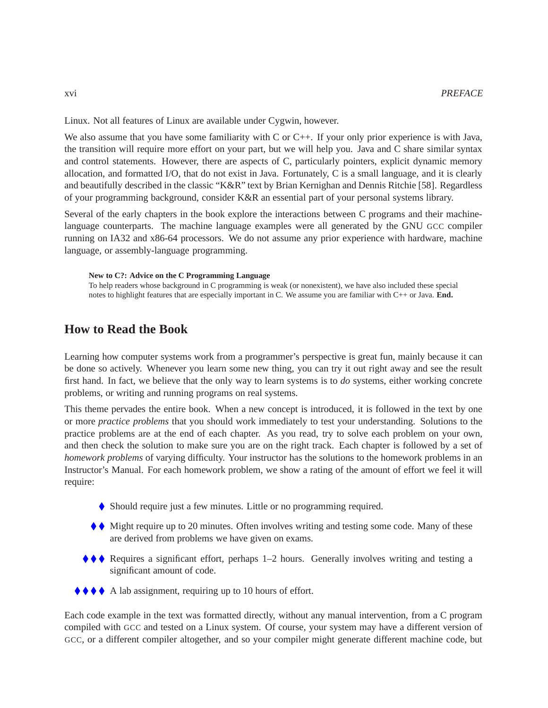Linux. Not all features of Linux are available under Cygwin, however.

We also assume that you have some familiarity with C or C++. If your only prior experience is with Java, the transition will require more effort on your part, but we will help you. Java and C share similar syntax and control statements. However, there are aspects of C, particularly pointers, explicit dynamic memory allocation, and formatted I/O, that do not exist in Java. Fortunately, C is a small language, and it is clearly and beautifully described in the classic "K&R" text by Brian Kernighan and Dennis Ritchie [58]. Regardless of your programming background, consider K&R an essential part of your personal systems library.

Several of the early chapters in the book explore the interactions between C programs and their machinelanguage counterparts. The machine language examples were all generated by the GNU GCC compiler running on IA32 and x86-64 processors. We do not assume any prior experience with hardware, machine language, or assembly-language programming.

#### **New to C?: Advice on the C Programming Language**

To help readers whose background in C programming is weak (or nonexistent), we have also included these special notes to highlight features that are especially important in C. We assume you are familiar with C++ or Java. **End.**

#### **How to Read the Book**

Learning how computer systems work from a programmer's perspective is great fun, mainly because it can be done so actively. Whenever you learn some new thing, you can try it out right away and see the result first hand. In fact, we believe that the only way to learn systems is to *do* systems, either working concrete problems, or writing and running programs on real systems.

This theme pervades the entire book. When a new concept is introduced, it is followed in the text by one or more *practice problems* that you should work immediately to test your understanding. Solutions to the practice problems are at the end of each chapter. As you read, try to solve each problem on your own, and then check the solution to make sure you are on the right track. Each chapter is followed by a set of *homework problems* of varying difficulty. Your instructor has the solutions to the homework problems in an Instructor's Manual. For each homework problem, we show a rating of the amount of effort we feel it will require:

- Should require just a few minutes. Little or no programming required.
- Might require up to 20 minutes. Often involves writing and testing some code. Many of these are derived from problems we have given on exams.
- $\leftrightarrow \bullet$  Requires a significant effort, perhaps 1–2 hours. Generally involves writing and testing a significant amount of code.
- $\leftrightarrow \leftrightarrow A$  lab assignment, requiring up to 10 hours of effort.

Each code example in the text was formatted directly, without any manual intervention, from a C program compiled with GCC and tested on a Linux system. Of course, your system may have a different version of GCC, or a different compiler altogether, and so your compiler might generate different machine code, but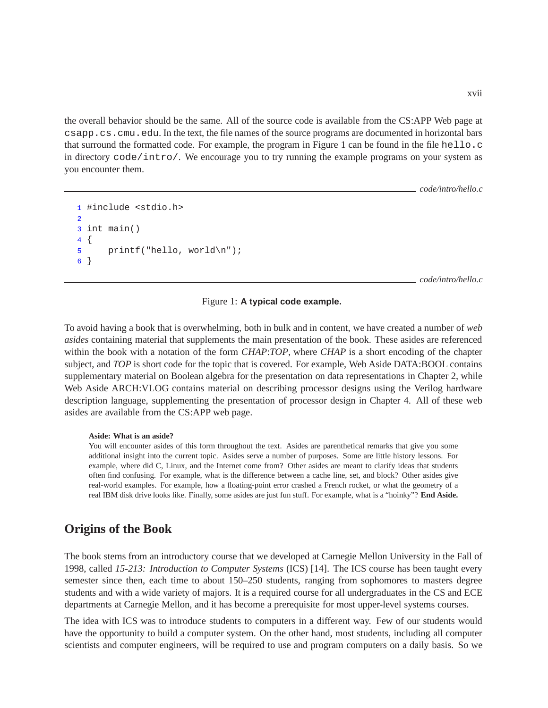the overall behavior should be the same. All of the source code is available from the CS:APP Web page at csapp.cs.cmu.edu. In the text, the file names of the source programs are documented in horizontal bars that surround the formatted code. For example, the program in Figure 1 can be found in the file hello.c in directory code/intro/. We encourage you to try running the example programs on your system as you encounter them.

*code/intro/hello.c*

```
1 #include <stdio.h>
2
3 int main()
4 {
5 printf("hello, world\n");
6 }
```
*code/intro/hello.c*



To avoid having a book that is overwhelming, both in bulk and in content, we have created a number of *web asides* containing material that supplements the main presentation of the book. These asides are referenced within the book with a notation of the form *CHAP*:*TOP*, where *CHAP* is a short encoding of the chapter subject, and *TOP* is short code for the topic that is covered. For example, Web Aside DATA:BOOL contains supplementary material on Boolean algebra for the presentation on data representations in Chapter 2, while Web Aside ARCH:VLOG contains material on describing processor designs using the Verilog hardware description language, supplementing the presentation of processor design in Chapter 4. All of these web asides are available from the CS:APP web page.

#### **Aside: What is an aside?**

You will encounter asides of this form throughout the text. Asides are parenthetical remarks that give you some additional insight into the current topic. Asides serve a number of purposes. Some are little history lessons. For example, where did C, Linux, and the Internet come from? Other asides are meant to clarify ideas that students often find confusing. For example, what is the difference between a cache line, set, and block? Other asides give real-world examples. For example, how a floating-point error crashed a French rocket, or what the geometry of a real IBM disk drive looks like. Finally, some asides are just fun stuff. For example, what is a "hoinky"? **End Aside.**

#### **Origins of the Book**

The book stems from an introductory course that we developed at Carnegie Mellon University in the Fall of 1998, called *15-213: Introduction to Computer Systems* (ICS) [14]. The ICS course has been taught every semester since then, each time to about 150–250 students, ranging from sophomores to masters degree students and with a wide variety of majors. It is a required course for all undergraduates in the CS and ECE departments at Carnegie Mellon, and it has become a prerequisite for most upper-level systems courses.

The idea with ICS was to introduce students to computers in a different way. Few of our students would have the opportunity to build a computer system. On the other hand, most students, including all computer scientists and computer engineers, will be required to use and program computers on a daily basis. So we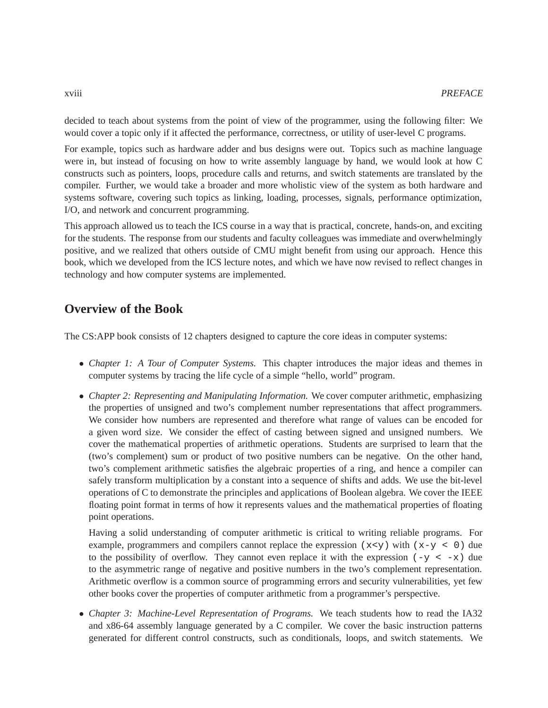decided to teach about systems from the point of view of the programmer, using the following filter: We would cover a topic only if it affected the performance, correctness, or utility of user-level C programs.

For example, topics such as hardware adder and bus designs were out. Topics such as machine language were in, but instead of focusing on how to write assembly language by hand, we would look at how C constructs such as pointers, loops, procedure calls and returns, and switch statements are translated by the compiler. Further, we would take a broader and more wholistic view of the system as both hardware and systems software, covering such topics as linking, loading, processes, signals, performance optimization, I/O, and network and concurrent programming.

This approach allowed us to teach the ICS course in a way that is practical, concrete, hands-on, and exciting for the students. The response from our students and faculty colleagues was immediate and overwhelmingly positive, and we realized that others outside of CMU might benefit from using our approach. Hence this book, which we developed from the ICS lecture notes, and which we have now revised to reflect changes in technology and how computer systems are implemented.

### **Overview of the Book**

The CS:APP book consists of 12 chapters designed to capture the core ideas in computer systems:

- *Chapter 1: A Tour of Computer Systems.* This chapter introduces the major ideas and themes in computer systems by tracing the life cycle of a simple "hello, world" program.
- *Chapter 2: Representing and Manipulating Information.* We cover computer arithmetic, emphasizing the properties of unsigned and two's complement number representations that affect programmers. We consider how numbers are represented and therefore what range of values can be encoded for a given word size. We consider the effect of casting between signed and unsigned numbers. We cover the mathematical properties of arithmetic operations. Students are surprised to learn that the (two's complement) sum or product of two positive numbers can be negative. On the other hand, two's complement arithmetic satisfies the algebraic properties of a ring, and hence a compiler can safely transform multiplication by a constant into a sequence of shifts and adds. We use the bit-level operations of C to demonstrate the principles and applications of Boolean algebra. We cover the IEEE floating point format in terms of how it represents values and the mathematical properties of floating point operations.

Having a solid understanding of computer arithmetic is critical to writing reliable programs. For example, programmers and compilers cannot replace the expression ( $x < y$ ) with ( $x-y < 0$ ) due to the possibility of overflow. They cannot even replace it with the expression  $(-y < -x)$  due to the asymmetric range of negative and positive numbers in the two's complement representation. Arithmetic overflow is a common source of programming errors and security vulnerabilities, yet few other books cover the properties of computer arithmetic from a programmer's perspective.

• *Chapter 3: Machine-Level Representation of Programs.* We teach students how to read the IA32 and x86-64 assembly language generated by a C compiler. We cover the basic instruction patterns generated for different control constructs, such as conditionals, loops, and switch statements. We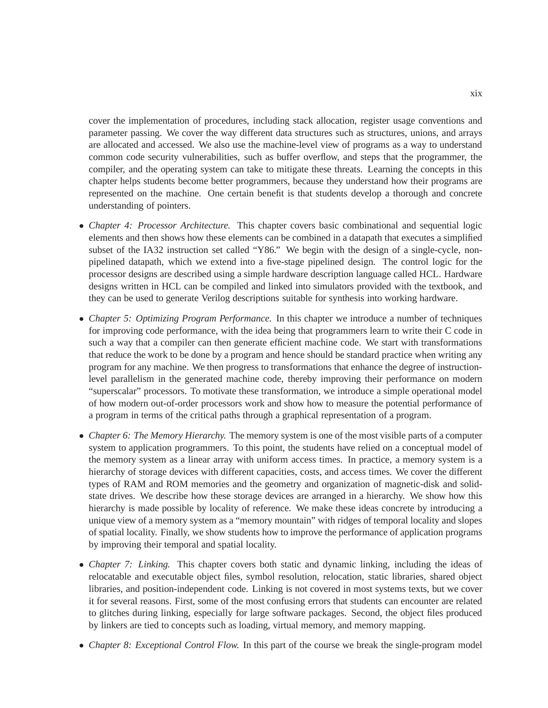cover the implementation of procedures, including stack allocation, register usage conventions and parameter passing. We cover the way different data structures such as structures, unions, and arrays are allocated and accessed. We also use the machine-level view of programs as a way to understand common code security vulnerabilities, such as buffer overflow, and steps that the programmer, the compiler, and the operating system can take to mitigate these threats. Learning the concepts in this chapter helps students become better programmers, because they understand how their programs are represented on the machine. One certain benefit is that students develop a thorough and concrete understanding of pointers.

- *Chapter 4: Processor Architecture.* This chapter covers basic combinational and sequential logic elements and then shows how these elements can be combined in a datapath that executes a simplified subset of the IA32 instruction set called "Y86." We begin with the design of a single-cycle, nonpipelined datapath, which we extend into a five-stage pipelined design. The control logic for the processor designs are described using a simple hardware description language called HCL. Hardware designs written in HCL can be compiled and linked into simulators provided with the textbook, and they can be used to generate Verilog descriptions suitable for synthesis into working hardware.
- *Chapter 5: Optimizing Program Performance.* In this chapter we introduce a number of techniques for improving code performance, with the idea being that programmers learn to write their C code in such a way that a compiler can then generate efficient machine code. We start with transformations that reduce the work to be done by a program and hence should be standard practice when writing any program for any machine. We then progress to transformations that enhance the degree of instructionlevel parallelism in the generated machine code, thereby improving their performance on modern "superscalar" processors. To motivate these transformation, we introduce a simple operational model of how modern out-of-order processors work and show how to measure the potential performance of a program in terms of the critical paths through a graphical representation of a program.
- *Chapter 6: The Memory Hierarchy.* The memory system is one of the most visible parts of a computer system to application programmers. To this point, the students have relied on a conceptual model of the memory system as a linear array with uniform access times. In practice, a memory system is a hierarchy of storage devices with different capacities, costs, and access times. We cover the different types of RAM and ROM memories and the geometry and organization of magnetic-disk and solidstate drives. We describe how these storage devices are arranged in a hierarchy. We show how this hierarchy is made possible by locality of reference. We make these ideas concrete by introducing a unique view of a memory system as a "memory mountain" with ridges of temporal locality and slopes of spatial locality. Finally, we show students how to improve the performance of application programs by improving their temporal and spatial locality.
- *Chapter 7: Linking.* This chapter covers both static and dynamic linking, including the ideas of relocatable and executable object files, symbol resolution, relocation, static libraries, shared object libraries, and position-independent code. Linking is not covered in most systems texts, but we cover it for several reasons. First, some of the most confusing errors that students can encounter are related to glitches during linking, especially for large software packages. Second, the object files produced by linkers are tied to concepts such as loading, virtual memory, and memory mapping.
- *Chapter 8: Exceptional Control Flow.* In this part of the course we break the single-program model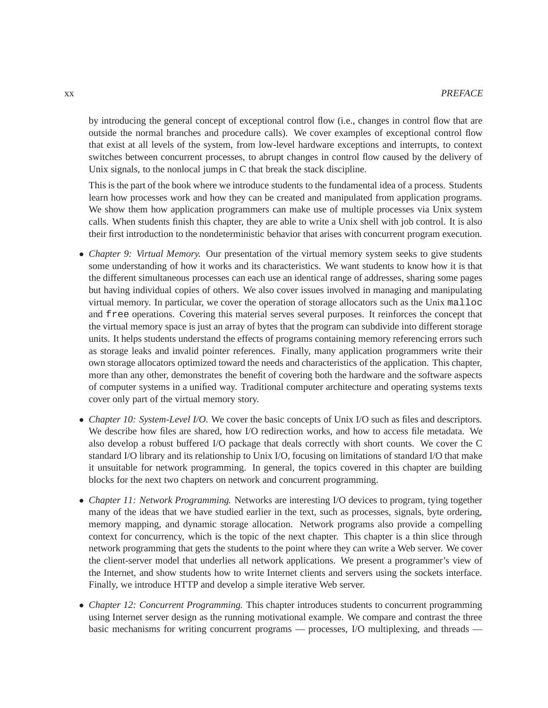by introducing the general concept of exceptional control flow (i.e., changes in control flow that are outside the normal branches and procedure calls). We cover examples of exceptional control flow that exist at all levels of the system, from low-level hardware exceptions and interrupts, to context switches between concurrent processes, to abrupt changes in control flow caused by the delivery of Unix signals, to the nonlocal jumps in C that break the stack discipline.

This is the part of the book where we introduce students to the fundamental idea of a process. Students learn how processes work and how they can be created and manipulated from application programs. We show them how application programmers can make use of multiple processes via Unix system calls. When students finish this chapter, they are able to write a Unix shell with job control. It is also their first introduction to the nondeterministic behavior that arises with concurrent program execution.

- *Chapter 9: Virtual Memory.* Our presentation of the virtual memory system seeks to give students some understanding of how it works and its characteristics. We want students to know how it is that the different simultaneous processes can each use an identical range of addresses, sharing some pages but having individual copies of others. We also cover issues involved in managing and manipulating virtual memory. In particular, we cover the operation of storage allocators such as the Unix malloc and free operations. Covering this material serves several purposes. It reinforces the concept that the virtual memory space is just an array of bytes that the program can subdivide into different storage units. It helps students understand the effects of programs containing memory referencing errors such as storage leaks and invalid pointer references. Finally, many application programmers write their own storage allocators optimized toward the needs and characteristics of the application. This chapter, more than any other, demonstrates the benefit of covering both the hardware and the software aspects of computer systems in a unified way. Traditional computer architecture and operating systems texts cover only part of the virtual memory story.
- *Chapter 10: System-Level I/O.* We cover the basic concepts of Unix I/O such as files and descriptors. We describe how files are shared, how I/O redirection works, and how to access file metadata. We also develop a robust buffered I/O package that deals correctly with short counts. We cover the C standard I/O library and its relationship to Unix I/O, focusing on limitations of standard I/O that make it unsuitable for network programming. In general, the topics covered in this chapter are building blocks for the next two chapters on network and concurrent programming.
- *Chapter 11: Network Programming.* Networks are interesting I/O devices to program, tying together many of the ideas that we have studied earlier in the text, such as processes, signals, byte ordering, memory mapping, and dynamic storage allocation. Network programs also provide a compelling context for concurrency, which is the topic of the next chapter. This chapter is a thin slice through network programming that gets the students to the point where they can write a Web server. We cover the client-server model that underlies all network applications. We present a programmer's view of the Internet, and show students how to write Internet clients and servers using the sockets interface. Finally, we introduce HTTP and develop a simple iterative Web server.
- *Chapter 12: Concurrent Programming*. This chapter introduces students to concurrent programming using Internet server design as the running motivational example. We compare and contrast the three basic mechanisms for writing concurrent programs — processes, I/O multiplexing, and threads —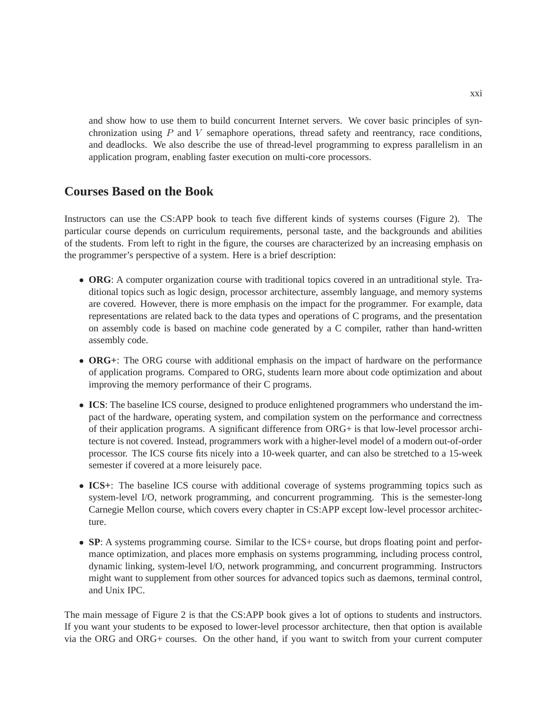and show how to use them to build concurrent Internet servers. We cover basic principles of synchronization using  $P$  and  $V$  semaphore operations, thread safety and reentrancy, race conditions, and deadlocks. We also describe the use of thread-level programming to express parallelism in an application program, enabling faster execution on multi-core processors.

### **Courses Based on the Book**

Instructors can use the CS:APP book to teach five different kinds of systems courses (Figure 2). The particular course depends on curriculum requirements, personal taste, and the backgrounds and abilities of the students. From left to right in the figure, the courses are characterized by an increasing emphasis on the programmer's perspective of a system. Here is a brief description:

- **ORG**: A computer organization course with traditional topics covered in an untraditional style. Traditional topics such as logic design, processor architecture, assembly language, and memory systems are covered. However, there is more emphasis on the impact for the programmer. For example, data representations are related back to the data types and operations of C programs, and the presentation on assembly code is based on machine code generated by a C compiler, rather than hand-written assembly code.
- **ORG**+: The ORG course with additional emphasis on the impact of hardware on the performance of application programs. Compared to ORG, students learn more about code optimization and about improving the memory performance of their C programs.
- **ICS**: The baseline ICS course, designed to produce enlightened programmers who understand the impact of the hardware, operating system, and compilation system on the performance and correctness of their application programs. A significant difference from ORG+ is that low-level processor architecture is not covered. Instead, programmers work with a higher-level model of a modern out-of-order processor. The ICS course fits nicely into a 10-week quarter, and can also be stretched to a 15-week semester if covered at a more leisurely pace.
- **ICS+**: The baseline ICS course with additional coverage of systems programming topics such as system-level I/O, network programming, and concurrent programming. This is the semester-long Carnegie Mellon course, which covers every chapter in CS:APP except low-level processor architecture.
- **SP**: A systems programming course. Similar to the ICS+ course, but drops floating point and performance optimization, and places more emphasis on systems programming, including process control, dynamic linking, system-level I/O, network programming, and concurrent programming. Instructors might want to supplement from other sources for advanced topics such as daemons, terminal control, and Unix IPC.

The main message of Figure 2 is that the CS:APP book gives a lot of options to students and instructors. If you want your students to be exposed to lower-level processor architecture, then that option is available via the ORG and ORG+ courses. On the other hand, if you want to switch from your current computer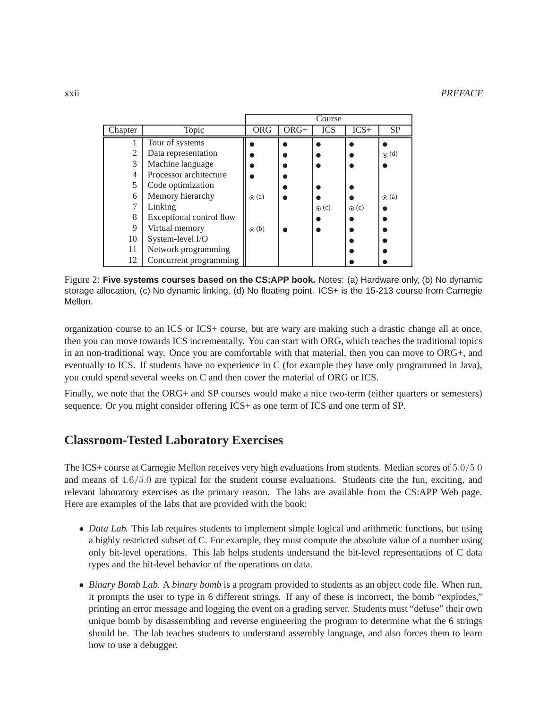|         |                          |             |        | Course      |             |             |
|---------|--------------------------|-------------|--------|-------------|-------------|-------------|
| Chapter | Topic                    | <b>ORG</b>  | $ORG+$ | <b>ICS</b>  | $ICS+$      | <b>SP</b>   |
|         | Tour of systems          |             |        |             |             |             |
| 2       | Data representation      |             |        |             |             | $\odot$ (d) |
| 3       | Machine language         |             |        |             |             |             |
| 4       | Processor architecture   |             |        |             |             |             |
| 5       | Code optimization        |             |        |             |             |             |
| 6       | Memory hierarchy         | $\odot$ (a) |        |             |             | $\odot$ (a) |
| 7       | Linking                  |             |        | $\odot$ (c) | $\odot$ (c) |             |
| 8       | Exceptional control flow |             |        |             |             |             |
| 9       | Virtual memory           | $\odot$ (b) |        |             |             |             |
| 10      | System-level I/O         |             |        |             |             |             |
| 11      | Network programming      |             |        |             |             |             |
| 12      | Concurrent programming   |             |        |             |             |             |

Figure 2: **Five systems courses based on the CS:APP book.** Notes: (a) Hardware only, (b) No dynamic storage allocation, (c) No dynamic linking, (d) No floating point. ICS+ is the 15-213 course from Carnegie Mellon.

organization course to an ICS or ICS+ course, but are wary are making such a drastic change all at once, then you can move towards ICS incrementally. You can start with ORG, which teaches the traditional topics in an non-traditional way. Once you are comfortable with that material, then you can move to ORG+, and eventually to ICS. If students have no experience in C (for example they have only programmed in Java), you could spend several weeks on C and then cover the material of ORG or ICS.

Finally, we note that the ORG+ and SP courses would make a nice two-term (either quarters or semesters) sequence. Or you might consider offering ICS+ as one term of ICS and one term of SP.

# **Classroom-Tested Laboratory Exercises**

The ICS+ course at Carnegie Mellon receives very high evaluations from students. Median scores of 5.0/5.0 and means of 4.6/5.0 are typical for the student course evaluations. Students cite the fun, exciting, and relevant laboratory exercises as the primary reason. The labs are available from the CS:APP Web page. Here are examples of the labs that are provided with the book:

- *Data Lab.* This lab requires students to implement simple logical and arithmetic functions, but using a highly restricted subset of C. For example, they must compute the absolute value of a number using only bit-level operations. This lab helps students understand the bit-level representations of C data types and the bit-level behavior of the operations on data.
- *Binary Bomb Lab.* A *binary bomb* is a program provided to students as an object code file. When run, it prompts the user to type in 6 different strings. If any of these is incorrect, the bomb "explodes," printing an error message and logging the event on a grading server. Students must "defuse" their own unique bomb by disassembling and reverse engineering the program to determine what the 6 strings should be. The lab teaches students to understand assembly language, and also forces them to learn how to use a debugger.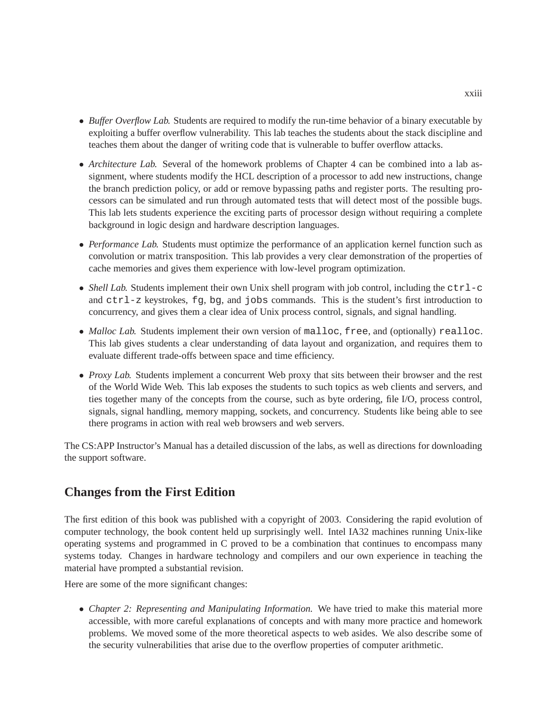- *Buffer Overflow Lab.* Students are required to modify the run-time behavior of a binary executable by exploiting a buffer overflow vulnerability. This lab teaches the students about the stack discipline and teaches them about the danger of writing code that is vulnerable to buffer overflow attacks.
- *Architecture Lab.* Several of the homework problems of Chapter 4 can be combined into a lab assignment, where students modify the HCL description of a processor to add new instructions, change the branch prediction policy, or add or remove bypassing paths and register ports. The resulting processors can be simulated and run through automated tests that will detect most of the possible bugs. This lab lets students experience the exciting parts of processor design without requiring a complete background in logic design and hardware description languages.
- *Performance Lab.* Students must optimize the performance of an application kernel function such as convolution or matrix transposition. This lab provides a very clear demonstration of the properties of cache memories and gives them experience with low-level program optimization.
- *Shell Lab.* Students implement their own Unix shell program with job control, including the  $\text{ctrl}$   $\text{c}$ and ctrl-z keystrokes, fg, bg, and jobs commands. This is the student's first introduction to concurrency, and gives them a clear idea of Unix process control, signals, and signal handling.
- *Malloc Lab.* Students implement their own version of malloc, free, and (optionally) realloc. This lab gives students a clear understanding of data layout and organization, and requires them to evaluate different trade-offs between space and time efficiency.
- *Proxy Lab.* Students implement a concurrent Web proxy that sits between their browser and the rest of the World Wide Web. This lab exposes the students to such topics as web clients and servers, and ties together many of the concepts from the course, such as byte ordering, file I/O, process control, signals, signal handling, memory mapping, sockets, and concurrency. Students like being able to see there programs in action with real web browsers and web servers.

The CS:APP Instructor's Manual has a detailed discussion of the labs, as well as directions for downloading the support software.

#### **Changes from the First Edition**

The first edition of this book was published with a copyright of 2003. Considering the rapid evolution of computer technology, the book content held up surprisingly well. Intel IA32 machines running Unix-like operating systems and programmed in C proved to be a combination that continues to encompass many systems today. Changes in hardware technology and compilers and our own experience in teaching the material have prompted a substantial revision.

Here are some of the more significant changes:

• *Chapter 2: Representing and Manipulating Information.* We have tried to make this material more accessible, with more careful explanations of concepts and with many more practice and homework problems. We moved some of the more theoretical aspects to web asides. We also describe some of the security vulnerabilities that arise due to the overflow properties of computer arithmetic.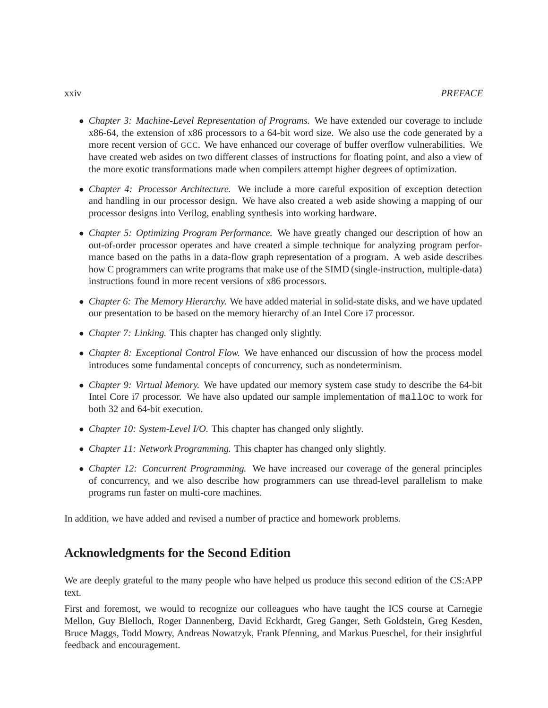- *Chapter 3: Machine-Level Representation of Programs.* We have extended our coverage to include x86-64, the extension of x86 processors to a 64-bit word size. We also use the code generated by a more recent version of GCC. We have enhanced our coverage of buffer overflow vulnerabilities. We have created web asides on two different classes of instructions for floating point, and also a view of the more exotic transformations made when compilers attempt higher degrees of optimization.
- *Chapter 4: Processor Architecture.* We include a more careful exposition of exception detection and handling in our processor design. We have also created a web aside showing a mapping of our processor designs into Verilog, enabling synthesis into working hardware.
- *Chapter 5: Optimizing Program Performance.* We have greatly changed our description of how an out-of-order processor operates and have created a simple technique for analyzing program performance based on the paths in a data-flow graph representation of a program. A web aside describes how C programmers can write programs that make use of the SIMD (single-instruction, multiple-data) instructions found in more recent versions of x86 processors.
- *Chapter 6: The Memory Hierarchy.* We have added material in solid-state disks, and we have updated our presentation to be based on the memory hierarchy of an Intel Core i7 processor.
- *Chapter 7: Linking.* This chapter has changed only slightly.
- *Chapter 8: Exceptional Control Flow.* We have enhanced our discussion of how the process model introduces some fundamental concepts of concurrency, such as nondeterminism.
- *Chapter 9: Virtual Memory.* We have updated our memory system case study to describe the 64-bit Intel Core i7 processor. We have also updated our sample implementation of malloc to work for both 32 and 64-bit execution.
- *Chapter 10: System-Level I/O.* This chapter has changed only slightly.
- *Chapter 11: Network Programming.* This chapter has changed only slightly.
- *Chapter 12: Concurrent Programming.* We have increased our coverage of the general principles of concurrency, and we also describe how programmers can use thread-level parallelism to make programs run faster on multi-core machines.

In addition, we have added and revised a number of practice and homework problems.

#### **Acknowledgments for the Second Edition**

We are deeply grateful to the many people who have helped us produce this second edition of the CS:APP text.

First and foremost, we would to recognize our colleagues who have taught the ICS course at Carnegie Mellon, Guy Blelloch, Roger Dannenberg, David Eckhardt, Greg Ganger, Seth Goldstein, Greg Kesden, Bruce Maggs, Todd Mowry, Andreas Nowatzyk, Frank Pfenning, and Markus Pueschel, for their insightful feedback and encouragement.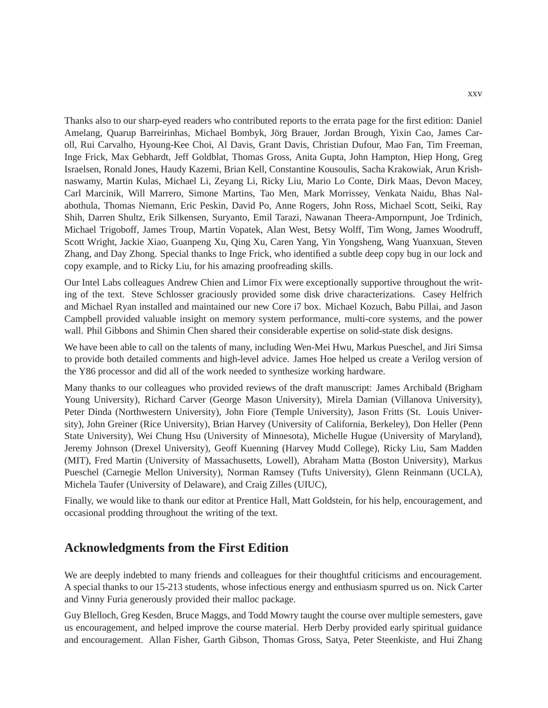Thanks also to our sharp-eyed readers who contributed reports to the errata page for the first edition: Daniel Amelang, Quarup Barreirinhas, Michael Bombyk, Jörg Brauer, Jordan Brough, Yixin Cao, James Caroll, Rui Carvalho, Hyoung-Kee Choi, Al Davis, Grant Davis, Christian Dufour, Mao Fan, Tim Freeman, Inge Frick, Max Gebhardt, Jeff Goldblat, Thomas Gross, Anita Gupta, John Hampton, Hiep Hong, Greg Israelsen, Ronald Jones, Haudy Kazemi, Brian Kell, Constantine Kousoulis, Sacha Krakowiak, Arun Krishnaswamy, Martin Kulas, Michael Li, Zeyang Li, Ricky Liu, Mario Lo Conte, Dirk Maas, Devon Macey, Carl Marcinik, Will Marrero, Simone Martins, Tao Men, Mark Morrissey, Venkata Naidu, Bhas Nalabothula, Thomas Niemann, Eric Peskin, David Po, Anne Rogers, John Ross, Michael Scott, Seiki, Ray Shih, Darren Shultz, Erik Silkensen, Suryanto, Emil Tarazi, Nawanan Theera-Ampornpunt, Joe Trdinich, Michael Trigoboff, James Troup, Martin Vopatek, Alan West, Betsy Wolff, Tim Wong, James Woodruff, Scott Wright, Jackie Xiao, Guanpeng Xu, Qing Xu, Caren Yang, Yin Yongsheng, Wang Yuanxuan, Steven Zhang, and Day Zhong. Special thanks to Inge Frick, who identified a subtle deep copy bug in our lock and copy example, and to Ricky Liu, for his amazing proofreading skills.

Our Intel Labs colleagues Andrew Chien and Limor Fix were exceptionally supportive throughout the writing of the text. Steve Schlosser graciously provided some disk drive characterizations. Casey Helfrich and Michael Ryan installed and maintained our new Core i7 box. Michael Kozuch, Babu Pillai, and Jason Campbell provided valuable insight on memory system performance, multi-core systems, and the power wall. Phil Gibbons and Shimin Chen shared their considerable expertise on solid-state disk designs.

We have been able to call on the talents of many, including Wen-Mei Hwu, Markus Pueschel, and Jiri Simsa to provide both detailed comments and high-level advice. James Hoe helped us create a Verilog version of the Y86 processor and did all of the work needed to synthesize working hardware.

Many thanks to our colleagues who provided reviews of the draft manuscript: James Archibald (Brigham Young University), Richard Carver (George Mason University), Mirela Damian (Villanova University), Peter Dinda (Northwestern University), John Fiore (Temple University), Jason Fritts (St. Louis University), John Greiner (Rice University), Brian Harvey (University of California, Berkeley), Don Heller (Penn State University), Wei Chung Hsu (University of Minnesota), Michelle Hugue (University of Maryland), Jeremy Johnson (Drexel University), Geoff Kuenning (Harvey Mudd College), Ricky Liu, Sam Madden (MIT), Fred Martin (University of Massachusetts, Lowell), Abraham Matta (Boston University), Markus Pueschel (Carnegie Mellon University), Norman Ramsey (Tufts University), Glenn Reinmann (UCLA), Michela Taufer (University of Delaware), and Craig Zilles (UIUC),

Finally, we would like to thank our editor at Prentice Hall, Matt Goldstein, for his help, encouragement, and occasional prodding throughout the writing of the text.

#### **Acknowledgments from the First Edition**

We are deeply indebted to many friends and colleagues for their thoughtful criticisms and encouragement. A special thanks to our 15-213 students, whose infectious energy and enthusiasm spurred us on. Nick Carter and Vinny Furia generously provided their malloc package.

Guy Blelloch, Greg Kesden, Bruce Maggs, and Todd Mowry taught the course over multiple semesters, gave us encouragement, and helped improve the course material. Herb Derby provided early spiritual guidance and encouragement. Allan Fisher, Garth Gibson, Thomas Gross, Satya, Peter Steenkiste, and Hui Zhang